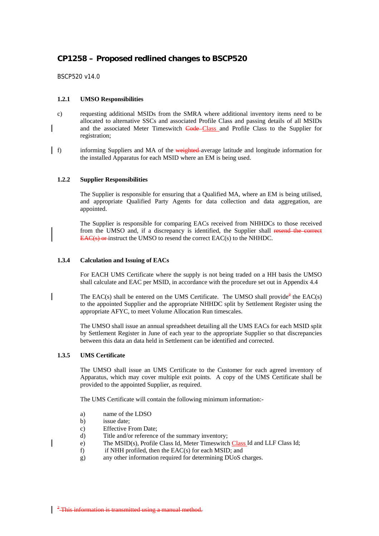# **CP1258 – Proposed redlined changes to BSCP520**

BSCP520 v14.0

## **1.2.1 UMSO Responsibilities**

- c) requesting additional MSIDs from the SMRA where additional inventory items need to be allocated to alternative SSCs and associated Profile Class and passing details of all MSIDs and the associated Meter Timeswitch Code-Class and Profile Class to the Supplier for registration;
- f) informing Suppliers and MA of the weighted average latitude and longitude information for the installed Apparatus for each MSID where an EM is being used.

### **1.2.2 Supplier Responsibilities**

The Supplier is responsible for ensuring that a Qualified MA, where an EM is being utilised, and appropriate Qualified Party Agents for data collection and data aggregation, are appointed.

The Supplier is responsible for comparing EACs received from NHHDCs to those received from the UMSO and, if a discrepancy is identified, the Supplier shall resend the correct EAC(s) or instruct the UMSO to resend the correct EAC(s) to the NHHDC.

### **1.3.4 Calculation and Issuing of EACs**

For EACH UMS Certificate where the supply is not being traded on a HH basis the UMSO shall calculate and EAC per MSID, in accordance with the procedure set out in Appendix 4.4

The EAC(s) shall be entered on the UMS Certificate. The UMSO shall provide<sup>2</sup> the EAC(s) to the appointed Supplier and the appropriate NHHDC split by Settlement Register using the appropriate AFYC, to meet Volume Allocation Run timescales.

The UMSO shall issue an annual spreadsheet detailing all the UMS EACs for each MSID split by Settlement Register in June of each year to the appropriate Supplier so that discrepancies between this data an data held in Settlement can be identified and corrected.

#### **1.3.5 UMS Certificate**

The UMSO shall issue an UMS Certificate to the Customer for each agreed inventory of Apparatus, which may cover multiple exit points. A copy of the UMS Certificate shall be provided to the appointed Supplier, as required.

The UMS Certificate will contain the following minimum information:-

- a) name of the LDSO
- b) issue date;
- c) Effective From Date;
- d) Title and/or reference of the summary inventory;
- e) The MSID(s), Profile Class Id, Meter Timeswitch Class Id and LLF Class Id;
- f) if NHH profiled, then the EAC(s) for each MSID; and
- g) any other information required for determining DUoS charges.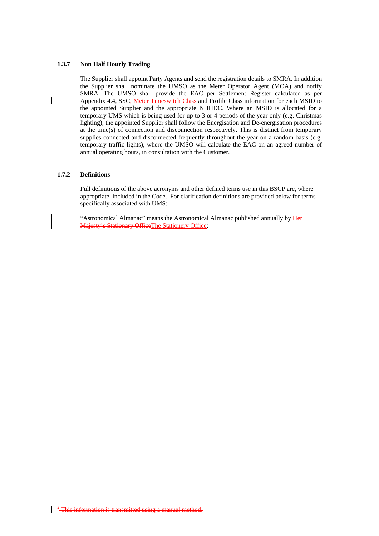#### **1.3.7 Non Half Hourly Trading**

The Supplier shall appoint Party Agents and send the registration details to SMRA. In addition the Supplier shall nominate the UMSO as the Meter Operator Agent (MOA) and notify SMRA. The UMSO shall provide the EAC per Settlement Register calculated as per Appendix 4.4, SSC, Meter Timeswitch Class and Profile Class information for each MSID to the appointed Supplier and the appropriate NHHDC. Where an MSID is allocated for a temporary UMS which is being used for up to 3 or 4 periods of the year only (e.g. Christmas lighting), the appointed Supplier shall follow the Energisation and De-energisation procedures at the time(s) of connection and disconnection respectively. This is distinct from temporary supplies connected and disconnected frequently throughout the year on a random basis (e.g. temporary traffic lights), where the UMSO will calculate the EAC on an agreed number of annual operating hours, in consultation with the Customer.

### **1.7.2 Definitions**

Full definitions of the above acronyms and other defined terms use in this BSCP are, where appropriate, included in the Code. For clarification definitions are provided below for terms specifically associated with UMS:-

"Astronomical Almanac" means the Astronomical Almanac published annually by Her Majesty's Stationary OfficeThe Stationery Office;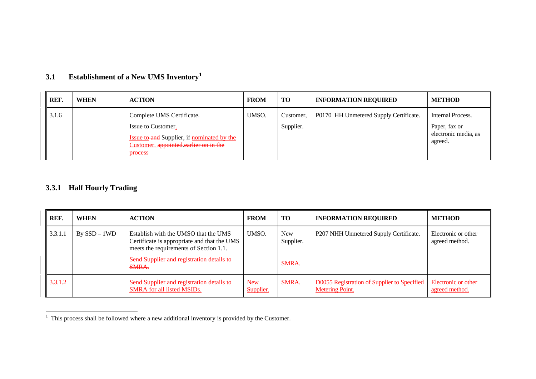| REF.  | <b>WHEN</b> | <b>ACTION</b>                                                                                                                                                   | <b>FROM</b> | <b>TO</b>              | <b>INFORMATION REQUIRED</b>            | <b>METHOD</b>                                                         |
|-------|-------------|-----------------------------------------------------------------------------------------------------------------------------------------------------------------|-------------|------------------------|----------------------------------------|-----------------------------------------------------------------------|
| 3.1.6 |             | Complete UMS Certificate.<br>Issue to Customer.<br><b>Issue to and Supplier, if nominated by the</b><br>Customer. appointed earlier on in the<br><b>DFOCESS</b> | UMSO.       | Customer.<br>Supplier. | P0170 HH Unmetered Supply Certificate. | Internal Process.<br>Paper, fax or<br>electronic media, as<br>agreed. |

#### **3.1Establishment of a New UMS Inventory[1](#page-2-0)**

## **3.3.1 Half Hourly Trading**

| REF.    | <b>WHEN</b>     | <b>ACTION</b>                                                                                                                 | <b>FROM</b>             | <b>TO</b>               | <b>INFORMATION REQUIRED</b>                                           | <b>METHOD</b>                         |
|---------|-----------------|-------------------------------------------------------------------------------------------------------------------------------|-------------------------|-------------------------|-----------------------------------------------------------------------|---------------------------------------|
| 3.3.1.1 | $By$ SSD $-1WD$ | Establish with the UMSO that the UMS<br>Certificate is appropriate and that the UMS<br>meets the requirements of Section 1.1. | UMSO.                   | <b>New</b><br>Supplier. | P207 NHH Unmetered Supply Certificate.                                | Electronic or other<br>agreed method. |
|         |                 | Send Supplier and registration details to<br>SMRA.                                                                            |                         | <b>SMRA.</b>            |                                                                       |                                       |
| 3.3.1.2 |                 | Send Supplier and registration details to<br>SMRA for all listed MSIDs.                                                       | <b>New</b><br>Supplier. | <b>SMRA.</b>            | D0055 Registration of Supplier to Specified<br><b>Metering Point.</b> | Electronic or other<br>agreed method. |

<span id="page-2-0"></span> $1$  This process shall be followed where a new additional inventory is provided by the Customer.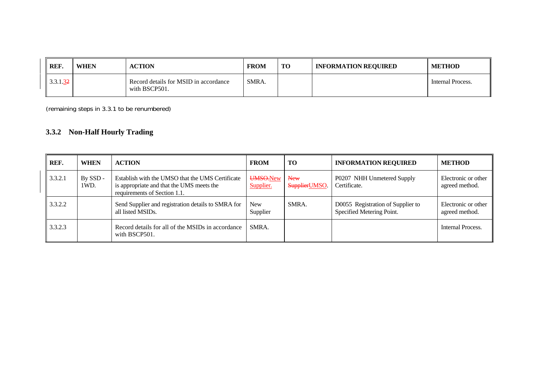| REF.                   | <b>WHEN</b> | <b>ACTION</b>                                          | <b>FROM</b> | TO | <b>INFORMATION REQUIRED</b> | <b>METHOD</b>     |
|------------------------|-------------|--------------------------------------------------------|-------------|----|-----------------------------|-------------------|
| $3.3.1.\underline{32}$ |             | Record details for MSID in accordance<br>with BSCP501. | SMRA.       |    |                             | Internal Process. |

(remaining steps in 3.3.1 to be renumbered)

# **3.3.2 Non-Half Hourly Trading**

| REF.    | <b>WHEN</b>      | <b>ACTION</b>                                                                                                                 | <b>FROM</b>            | TO                    | <b>INFORMATION REQUIRED</b>                                    | <b>METHOD</b>                         |
|---------|------------------|-------------------------------------------------------------------------------------------------------------------------------|------------------------|-----------------------|----------------------------------------------------------------|---------------------------------------|
| 3.3.2.1 | By SSD -<br>1WD. | Establish with the UMSO that the UMS Certificate<br>is appropriate and that the UMS meets the<br>requirements of Section 1.1. | UMSO.New<br>Supplier.  | New<br>Supplier UMSO. | P0207 NHH Unmetered Supply<br>Certificate.                     | Electronic or other<br>agreed method. |
| 3.3.2.2 |                  | Send Supplier and registration details to SMRA for<br>all listed MSIDs.                                                       | <b>New</b><br>Supplier | SMRA.                 | D0055 Registration of Supplier to<br>Specified Metering Point. | Electronic or other<br>agreed method. |
| 3.3.2.3 |                  | Record details for all of the MSIDs in accordance<br>with BSCP501.                                                            | SMRA.                  |                       |                                                                | Internal Process.                     |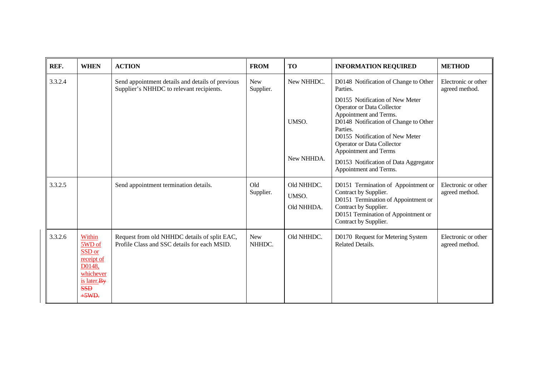| REF.    | <b>WHEN</b>                                                                                               | <b>ACTION</b>                                                                                | <b>FROM</b>             | <b>TO</b>                         | <b>INFORMATION REQUIRED</b>                                                                                                                                                                                                                   | <b>METHOD</b>                         |
|---------|-----------------------------------------------------------------------------------------------------------|----------------------------------------------------------------------------------------------|-------------------------|-----------------------------------|-----------------------------------------------------------------------------------------------------------------------------------------------------------------------------------------------------------------------------------------------|---------------------------------------|
| 3.3.2.4 |                                                                                                           | Send appointment details and details of previous<br>Supplier's NHHDC to relevant recipients. | <b>New</b><br>Supplier. | New NHHDC.                        | D0148 Notification of Change to Other<br>Parties.                                                                                                                                                                                             | Electronic or other<br>agreed method. |
|         |                                                                                                           |                                                                                              |                         | UMSO.                             | D0155 Notification of New Meter<br>Operator or Data Collector<br>Appointment and Terms.<br>D0148 Notification of Change to Other<br>Parties.<br>D0155 Notification of New Meter<br><b>Operator or Data Collector</b><br>Appointment and Terms |                                       |
|         |                                                                                                           |                                                                                              |                         | New NHHDA.                        | D0153 Notification of Data Aggregator<br>Appointment and Terms.                                                                                                                                                                               |                                       |
| 3.3.2.5 |                                                                                                           | Send appointment termination details.                                                        | Old<br>Supplier.        | Old NHHDC.<br>UMSO.<br>Old NHHDA. | D0151 Termination of Appointment or<br>Contract by Supplier.<br>D0151 Termination of Appointment or<br>Contract by Supplier.<br>D0151 Termination of Appointment or<br>Contract by Supplier.                                                  | Electronic or other<br>agreed method. |
| 3.3.2.6 | Within<br>5WD of<br>SSD or<br>receipt of<br>D0148,<br>whichever<br>is later. By<br><b>SSD</b><br>$+5WD$ . | Request from old NHHDC details of split EAC,<br>Profile Class and SSC details for each MSID. | <b>New</b><br>NHHDC.    | Old NHHDC.                        | D0170 Request for Metering System<br><b>Related Details.</b>                                                                                                                                                                                  | Electronic or other<br>agreed method. |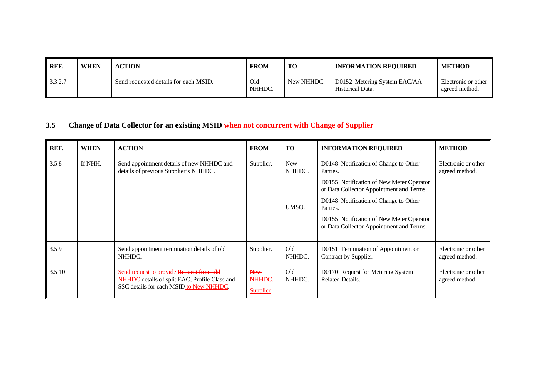| REF.    | <b>WHEN</b> | <b>ACTION</b>                         | <b>FROM</b>         | <b>TO</b>  | <b>INFORMATION REQUIRED</b>                      | <b>METHOD</b>                         |
|---------|-------------|---------------------------------------|---------------------|------------|--------------------------------------------------|---------------------------------------|
| 3.3.2.7 |             | Send requested details for each MSID. | Old<br><b>NHHDC</b> | New NHHDC. | D0152 Metering System EAC/AA<br>Historical Data. | Electronic or other<br>agreed method. |

# **3.5 Change of Data Collector for an existing MSID when not concurrent with Change of Supplier**

| REF.   | <b>WHEN</b> | <b>ACTION</b>                                                                                                                        | <b>FROM</b>                             | TO                   | <b>INFORMATION REQUIRED</b>                                                          | <b>METHOD</b>                         |
|--------|-------------|--------------------------------------------------------------------------------------------------------------------------------------|-----------------------------------------|----------------------|--------------------------------------------------------------------------------------|---------------------------------------|
| 3.5.8  | If NHH.     | Send appointment details of new NHHDC and<br>details of previous Supplier's NHHDC.                                                   | Supplier.                               | <b>New</b><br>NHHDC. | D0148 Notification of Change to Other<br>Parties.                                    | Electronic or other<br>agreed method. |
|        |             |                                                                                                                                      |                                         |                      | D0155 Notification of New Meter Operator<br>or Data Collector Appointment and Terms. |                                       |
|        |             |                                                                                                                                      |                                         | UMSO.                | D0148 Notification of Change to Other<br>Parties.                                    |                                       |
|        |             |                                                                                                                                      |                                         |                      | D0155 Notification of New Meter Operator<br>or Data Collector Appointment and Terms. |                                       |
| 3.5.9  |             | Send appointment termination details of old<br>NHHDC.                                                                                | Supplier.                               | Old<br>NHHDC.        | D0151 Termination of Appointment or<br>Contract by Supplier.                         | Electronic or other<br>agreed method. |
| 3.5.10 |             | Send request to provide Request from old<br>NHHDC details of split EAC, Profile Class and<br>SSC details for each MSID to New NHHDC. | <b>New</b><br>NHHDC.<br><b>Supplier</b> | Old<br>NHHDC.        | D0170 Request for Metering System<br><b>Related Details.</b>                         | Electronic or other<br>agreed method. |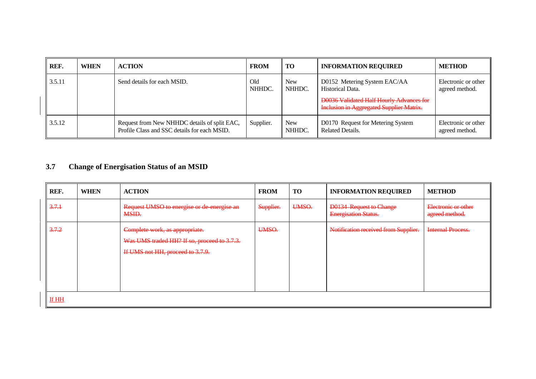| REF.   | <b>WHEN</b> | <b>ACTION</b>                                                                                | <b>FROM</b>   | <b>TO</b>            | <b>INFORMATION REQUIRED</b>                                                                                                                            | <b>METHOD</b>                         |
|--------|-------------|----------------------------------------------------------------------------------------------|---------------|----------------------|--------------------------------------------------------------------------------------------------------------------------------------------------------|---------------------------------------|
| 3.5.11 |             | Send details for each MSID.                                                                  | Old<br>NHHDC. | <b>New</b><br>NHHDC. | D0152 Metering System EAC/AA<br>Historical Data.<br><b>D0036 Validated Half Hourly Advances for</b><br><b>Inclusion in Aggregated Supplier Matrix.</b> | Electronic or other<br>agreed method. |
| 3.5.12 |             | Request from New NHHDC details of split EAC,<br>Profile Class and SSC details for each MSID. | Supplier.     | <b>New</b><br>NHHDC. | D0170 Request for Metering System<br>Related Details.                                                                                                  | Electronic or other<br>agreed method. |

#### **3.7Change of Energisation Status of an MSID**

| REF.  | <b>WHEN</b> | <b>ACTION</b>                                                                                                     | <b>FROM</b> | <b>TO</b> | <b>INFORMATION REQUIRED</b>                                   | <b>METHOD</b>                         |  |  |  |
|-------|-------------|-------------------------------------------------------------------------------------------------------------------|-------------|-----------|---------------------------------------------------------------|---------------------------------------|--|--|--|
| 3.7.1 |             | Request UMSO to energise or de energise an<br>MSID.                                                               | Supplier.   | UMSO.     | <b>D0134 Request to Change</b><br><b>Energisation Status.</b> | Electronic or other<br>agreed method. |  |  |  |
| 3.7.2 |             | Complete work, as appropriate.<br>Was UMS traded HH? If so, proceed to 3.7.3.<br>If UMS not HH, proceed to 3.7.9. | UMSO.       |           | Notification received from Supplier.                          | <b>Internal Process.</b>              |  |  |  |
| If HH |             |                                                                                                                   |             |           |                                                               |                                       |  |  |  |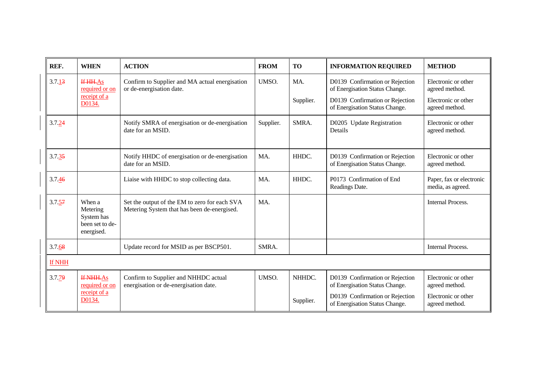| REF.                 | <b>WHEN</b>                                                       | <b>ACTION</b>                                                                                | <b>FROM</b> | <b>TO</b>        | <b>INFORMATION REQUIRED</b>                                                                                                            | <b>METHOD</b>                                                                  |
|----------------------|-------------------------------------------------------------------|----------------------------------------------------------------------------------------------|-------------|------------------|----------------------------------------------------------------------------------------------------------------------------------------|--------------------------------------------------------------------------------|
| 3.7.13               | If HH.As<br>required or on<br>receipt of a<br>D0134.              | Confirm to Supplier and MA actual energisation<br>or de-energisation date.                   | UMSO.       | MA.<br>Supplier. | D0139 Confirmation or Rejection<br>of Energisation Status Change.<br>D0139 Confirmation or Rejection<br>of Energisation Status Change. | Electronic or other<br>agreed method.<br>Electronic or other<br>agreed method. |
| 3.7.24               |                                                                   | Notify SMRA of energisation or de-energisation<br>date for an MSID.                          | Supplier.   | SMRA.            | D0205 Update Registration<br>Details                                                                                                   | Electronic or other<br>agreed method.                                          |
| $3.7.\overline{35}$  |                                                                   | Notify HHDC of energisation or de-energisation<br>date for an MSID.                          | MA.         | HHDC.            | D0139 Confirmation or Rejection<br>of Energisation Status Change.                                                                      | Electronic or other<br>agreed method.                                          |
| 3.7.46               |                                                                   | Liaise with HHDC to stop collecting data.                                                    | MA.         | HHDC.            | P0173 Confirmation of End<br>Readings Date.                                                                                            | Paper, fax or electronic<br>media, as agreed.                                  |
| $3.7.\underline{57}$ | When a<br>Metering<br>System has<br>been set to de-<br>energised. | Set the output of the EM to zero for each SVA<br>Metering System that has been de-energised. | MA.         |                  |                                                                                                                                        | <b>Internal Process.</b>                                                       |
| 3.7.68               |                                                                   | Update record for MSID as per BSCP501.                                                       | SMRA.       |                  |                                                                                                                                        | <b>Internal Process.</b>                                                       |
| If NHH               |                                                                   |                                                                                              |             |                  |                                                                                                                                        |                                                                                |
| 3.7.79               | <b>If NHH.As</b><br>required or on                                | Confirm to Supplier and NHHDC actual<br>energisation or de-energisation date.                | UMSO.       | NHHDC.           | D0139 Confirmation or Rejection<br>of Energisation Status Change.                                                                      | Electronic or other<br>agreed method.                                          |
|                      | receipt of a<br>D0134.                                            |                                                                                              |             | Supplier.        | D0139 Confirmation or Rejection<br>of Energisation Status Change.                                                                      | Electronic or other<br>agreed method.                                          |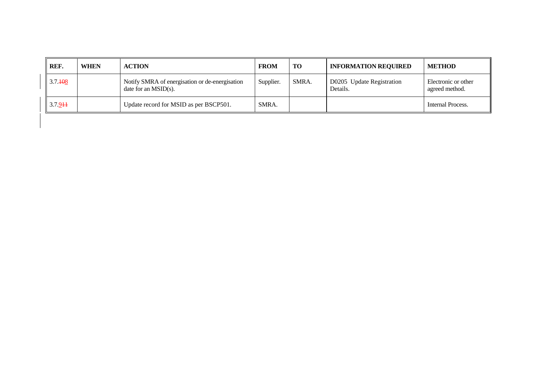| REF.        | <b>WHEN</b> | <b>ACTION</b>                                                             | <b>FROM</b> | <b>TO</b> | <b>INFORMATION REQUIRED</b>           | <b>METHOD</b>                         |
|-------------|-------------|---------------------------------------------------------------------------|-------------|-----------|---------------------------------------|---------------------------------------|
| 3.7.408     |             | Notify SMRA of energisation or de-energisation<br>date for an $MSID(s)$ . | Supplier.   | SMRA.     | D0205 Update Registration<br>Details. | Electronic or other<br>agreed method. |
| $3.7.9 + 1$ |             | Update record for MSID as per BSCP501.                                    | SMRA.       |           |                                       | Internal Process.                     |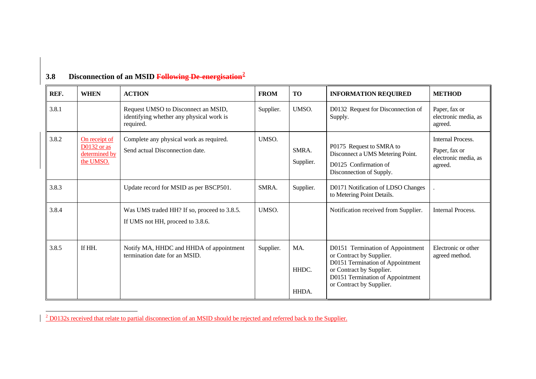| REF.  | <b>WHEN</b>                                                  | <b>ACTION</b>                                                                                | <b>FROM</b> | <b>TO</b>             | <b>INFORMATION REQUIRED</b>                                                                                                                                                                  | <b>METHOD</b>                                                                |
|-------|--------------------------------------------------------------|----------------------------------------------------------------------------------------------|-------------|-----------------------|----------------------------------------------------------------------------------------------------------------------------------------------------------------------------------------------|------------------------------------------------------------------------------|
| 3.8.1 |                                                              | Request UMSO to Disconnect an MSID,<br>identifying whether any physical work is<br>required. | Supplier.   | UMSO.                 | D0132 Request for Disconnection of<br>Supply.                                                                                                                                                | Paper, fax or<br>electronic media, as<br>agreed.                             |
| 3.8.2 | On receipt of<br>$D0132$ or as<br>determined by<br>the UMSO. | Complete any physical work as required.<br>Send actual Disconnection date.                   | UMSO.       | SMRA.<br>Supplier.    | P0175 Request to SMRA to<br>Disconnect a UMS Metering Point.<br>D0125 Confirmation of<br>Disconnection of Supply.                                                                            | <b>Internal Process.</b><br>Paper, fax or<br>electronic media, as<br>agreed. |
| 3.8.3 |                                                              | Update record for MSID as per BSCP501.                                                       | SMRA.       | Supplier.             | D0171 Notification of LDSO Changes<br>to Metering Point Details.                                                                                                                             |                                                                              |
| 3.8.4 |                                                              | Was UMS traded HH? If so, proceed to 3.8.5.<br>If UMS not HH, proceed to 3.8.6.              | UMSO.       |                       | Notification received from Supplier.                                                                                                                                                         | <b>Internal Process.</b>                                                     |
| 3.8.5 | If HH.                                                       | Notify MA, HHDC and HHDA of appointment<br>termination date for an MSID.                     | Supplier.   | MA.<br>HHDC.<br>HHDA. | D0151 Termination of Appointment<br>or Contract by Supplier.<br>D0151 Termination of Appointment<br>or Contract by Supplier.<br>D0151 Termination of Appointment<br>or Contract by Supplier. | Electronic or other<br>agreed method.                                        |

# **3.8 Disconnection of an MSID Following De-energisation[2](#page-9-0)**

<span id="page-9-0"></span><sup>&</sup>lt;sup>2</sup> D0132s received that relate to partial disconnection of an MSID should be rejected and referred back to the Supplier.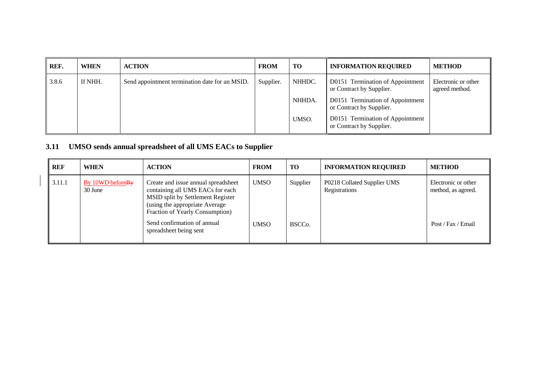| REF.  | <b>WHEN</b> | <b>ACTION</b>                                  | <b>FROM</b> | <b>TO</b> | <b>INFORMATION REQUIRED</b>                                  | <b>METHOD</b>                         |
|-------|-------------|------------------------------------------------|-------------|-----------|--------------------------------------------------------------|---------------------------------------|
| 3.8.6 | If NHH.     | Send appointment termination date for an MSID. | Supplier.   | NHHDC.    | D0151 Termination of Appointment<br>or Contract by Supplier. | Electronic or other<br>agreed method. |
|       |             |                                                |             | NHHDA.    | D0151 Termination of Appointment<br>or Contract by Supplier. |                                       |
|       |             |                                                |             | UMSO.     | D0151 Termination of Appointment<br>or Contract by Supplier. |                                       |

# **3.11 UMSO sends annual spreadsheet of all UMS EACs to Supplier**

| <b>REF</b> | <b>WHEN</b>                  | <b>ACTION</b>                                                                                                                                                                     | <b>FROM</b> | TO                  | <b>INFORMATION REQUIRED</b>                  | <b>METHOD</b>                             |
|------------|------------------------------|-----------------------------------------------------------------------------------------------------------------------------------------------------------------------------------|-------------|---------------------|----------------------------------------------|-------------------------------------------|
| 3.11.1     | By 10WD before By<br>30 June | Create and issue annual spreadsheet<br>containing all UMS EACs for each<br>MSID split by Settlement Register<br>(using the appropriate Average<br>Fraction of Yearly Consumption) | <b>UMSO</b> | Supplier            | P0218 Collated Supplier UMS<br>Registrations | Electronic or other<br>method, as agreed. |
|            |                              | Send confirmation of annual<br>spreadsheet being sent                                                                                                                             | <b>UMSO</b> | BSCC <sub>o</sub> . |                                              | Post / Fax / Email                        |